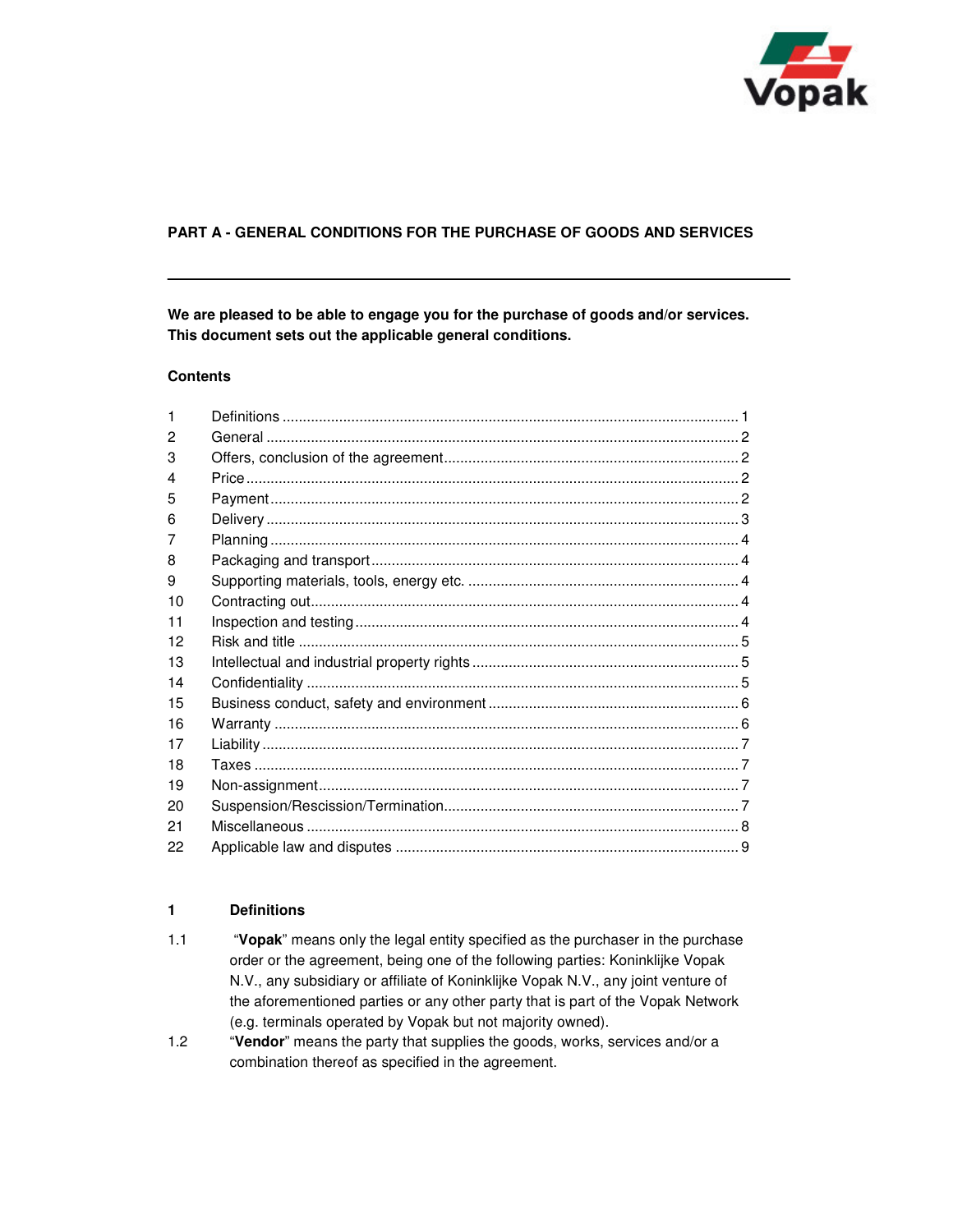

# **PART A - GENERAL CONDITIONS FOR THE PURCHASE OF GOODS AND SERVICES**

**We are pleased to be able to engage you for the purchase of goods and/or services. This document sets out the applicable general conditions.** 

#### **Contents**

| 1  |  |
|----|--|
| 2  |  |
| 3  |  |
| 4  |  |
| 5  |  |
| 6  |  |
| 7  |  |
| 8  |  |
| 9  |  |
| 10 |  |
| 11 |  |
| 12 |  |
| 13 |  |
| 14 |  |
| 15 |  |
| 16 |  |
| 17 |  |
| 18 |  |
| 19 |  |
| 20 |  |
| 21 |  |
| 22 |  |

## **1 Definitions**

- 1.1 "**Vopak**" means only the legal entity specified as the purchaser in the purchase order or the agreement, being one of the following parties: Koninklijke Vopak N.V., any subsidiary or affiliate of Koninklijke Vopak N.V., any joint venture of the aforementioned parties or any other party that is part of the Vopak Network (e.g. terminals operated by Vopak but not majority owned).
- 1.2 "**Vendor**" means the party that supplies the goods, works, services and/or a combination thereof as specified in the agreement.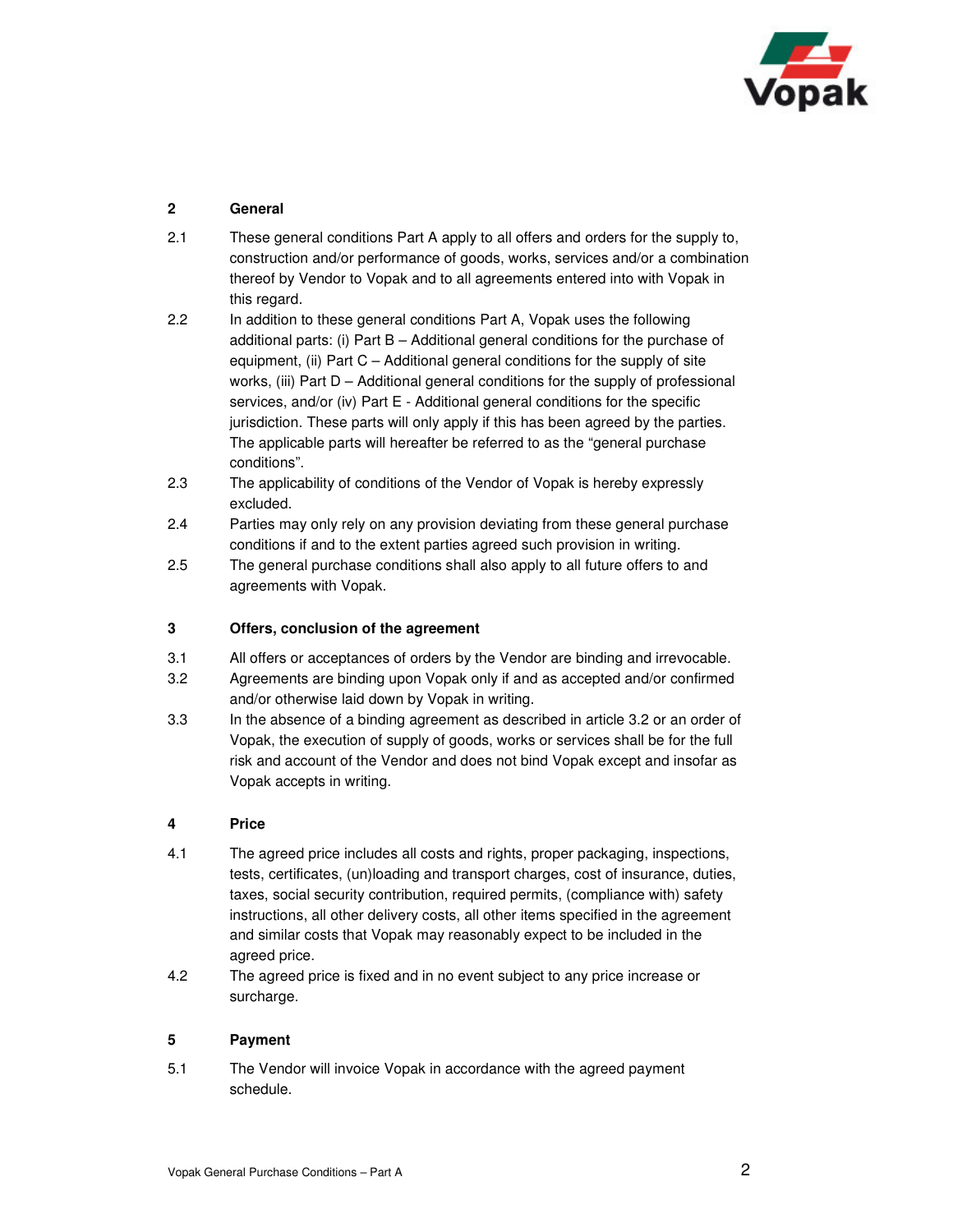

# **2 General**

- 2.1 These general conditions Part A apply to all offers and orders for the supply to, construction and/or performance of goods, works, services and/or a combination thereof by Vendor to Vopak and to all agreements entered into with Vopak in this regard.
- 2.2 In addition to these general conditions Part A, Vopak uses the following additional parts: (i) Part B – Additional general conditions for the purchase of equipment, (ii) Part C – Additional general conditions for the supply of site works, (iii) Part D – Additional general conditions for the supply of professional services, and/or (iv) Part E - Additional general conditions for the specific jurisdiction. These parts will only apply if this has been agreed by the parties. The applicable parts will hereafter be referred to as the "general purchase conditions".
- 2.3 The applicability of conditions of the Vendor of Vopak is hereby expressly excluded.
- 2.4 Parties may only rely on any provision deviating from these general purchase conditions if and to the extent parties agreed such provision in writing.
- 2.5 The general purchase conditions shall also apply to all future offers to and agreements with Vopak.

### **3 Offers, conclusion of the agreement**

- 3.1 All offers or acceptances of orders by the Vendor are binding and irrevocable.
- 3.2 Agreements are binding upon Vopak only if and as accepted and/or confirmed and/or otherwise laid down by Vopak in writing.
- 3.3 In the absence of a binding agreement as described in article 3.2 or an order of Vopak, the execution of supply of goods, works or services shall be for the full risk and account of the Vendor and does not bind Vopak except and insofar as Vopak accepts in writing.

### **4 Price**

- 4.1 The agreed price includes all costs and rights, proper packaging, inspections, tests, certificates, (un)loading and transport charges, cost of insurance, duties, taxes, social security contribution, required permits, (compliance with) safety instructions, all other delivery costs, all other items specified in the agreement and similar costs that Vopak may reasonably expect to be included in the agreed price.
- 4.2 The agreed price is fixed and in no event subject to any price increase or surcharge.

### **5 Payment**

5.1 The Vendor will invoice Vopak in accordance with the agreed payment schedule.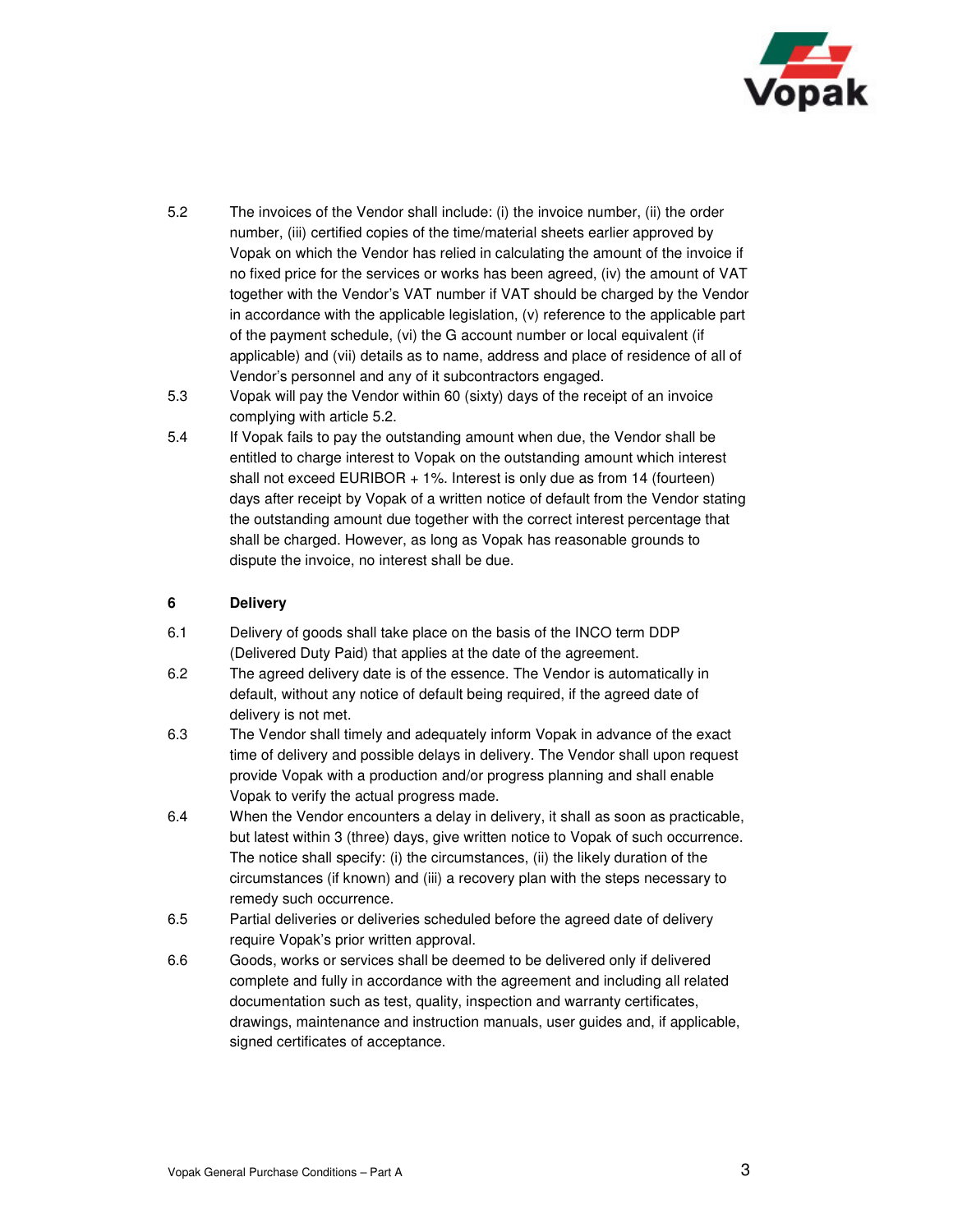

- 5.2 The invoices of the Vendor shall include: (i) the invoice number, (ii) the order number, (iii) certified copies of the time/material sheets earlier approved by Vopak on which the Vendor has relied in calculating the amount of the invoice if no fixed price for the services or works has been agreed, (iv) the amount of VAT together with the Vendor's VAT number if VAT should be charged by the Vendor in accordance with the applicable legislation, (v) reference to the applicable part of the payment schedule, (vi) the G account number or local equivalent (if applicable) and (vii) details as to name, address and place of residence of all of Vendor's personnel and any of it subcontractors engaged.
- 5.3 Vopak will pay the Vendor within 60 (sixty) days of the receipt of an invoice complying with article 5.2.
- 5.4 If Vopak fails to pay the outstanding amount when due, the Vendor shall be entitled to charge interest to Vopak on the outstanding amount which interest shall not exceed EURIBOR + 1%. Interest is only due as from 14 (fourteen) days after receipt by Vopak of a written notice of default from the Vendor stating the outstanding amount due together with the correct interest percentage that shall be charged. However, as long as Vopak has reasonable grounds to dispute the invoice, no interest shall be due.

### **6 Delivery**

- 6.1 Delivery of goods shall take place on the basis of the INCO term DDP (Delivered Duty Paid) that applies at the date of the agreement.
- 6.2 The agreed delivery date is of the essence. The Vendor is automatically in default, without any notice of default being required, if the agreed date of delivery is not met.
- 6.3 The Vendor shall timely and adequately inform Vopak in advance of the exact time of delivery and possible delays in delivery. The Vendor shall upon request provide Vopak with a production and/or progress planning and shall enable Vopak to verify the actual progress made.
- 6.4 When the Vendor encounters a delay in delivery, it shall as soon as practicable, but latest within 3 (three) days, give written notice to Vopak of such occurrence. The notice shall specify: (i) the circumstances, (ii) the likely duration of the circumstances (if known) and (iii) a recovery plan with the steps necessary to remedy such occurrence.
- 6.5 Partial deliveries or deliveries scheduled before the agreed date of delivery require Vopak's prior written approval.
- 6.6 Goods, works or services shall be deemed to be delivered only if delivered complete and fully in accordance with the agreement and including all related documentation such as test, quality, inspection and warranty certificates, drawings, maintenance and instruction manuals, user guides and, if applicable, signed certificates of acceptance.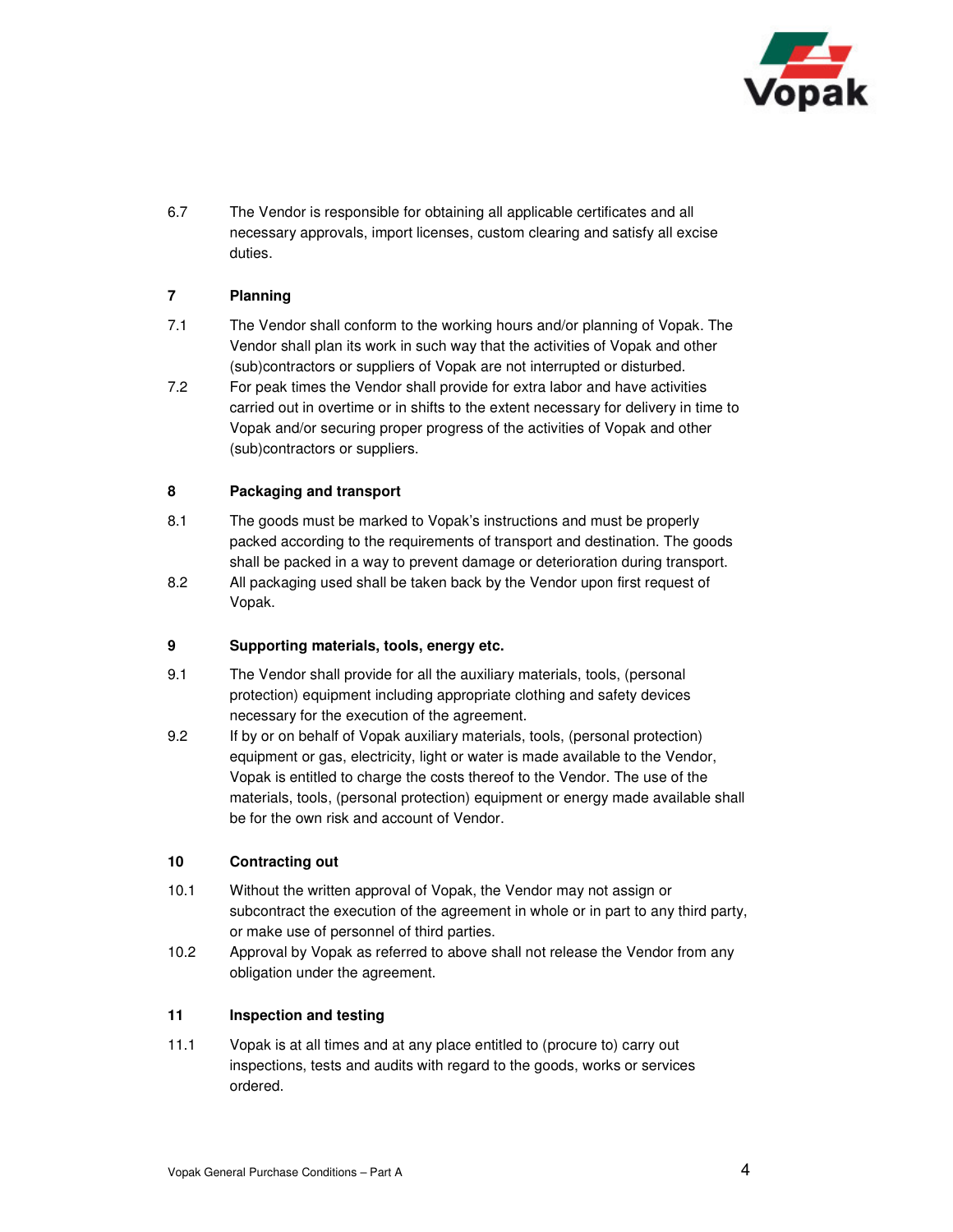

6.7 The Vendor is responsible for obtaining all applicable certificates and all necessary approvals, import licenses, custom clearing and satisfy all excise duties.

# **7 Planning**

- 7.1 The Vendor shall conform to the working hours and/or planning of Vopak. The Vendor shall plan its work in such way that the activities of Vopak and other (sub)contractors or suppliers of Vopak are not interrupted or disturbed.
- 7.2 For peak times the Vendor shall provide for extra labor and have activities carried out in overtime or in shifts to the extent necessary for delivery in time to Vopak and/or securing proper progress of the activities of Vopak and other (sub)contractors or suppliers.

### **8 Packaging and transport**

- 8.1 The goods must be marked to Vopak's instructions and must be properly packed according to the requirements of transport and destination. The goods shall be packed in a way to prevent damage or deterioration during transport.
- 8.2 All packaging used shall be taken back by the Vendor upon first request of Vopak.

### **9 Supporting materials, tools, energy etc.**

- 9.1 The Vendor shall provide for all the auxiliary materials, tools, (personal protection) equipment including appropriate clothing and safety devices necessary for the execution of the agreement.
- 9.2 If by or on behalf of Vopak auxiliary materials, tools, (personal protection) equipment or gas, electricity, light or water is made available to the Vendor, Vopak is entitled to charge the costs thereof to the Vendor. The use of the materials, tools, (personal protection) equipment or energy made available shall be for the own risk and account of Vendor.

### **10 Contracting out**

- 10.1 Without the written approval of Vopak, the Vendor may not assign or subcontract the execution of the agreement in whole or in part to any third party, or make use of personnel of third parties.
- 10.2 Approval by Vopak as referred to above shall not release the Vendor from any obligation under the agreement.

### **11 Inspection and testing**

11.1 Vopak is at all times and at any place entitled to (procure to) carry out inspections, tests and audits with regard to the goods, works or services ordered.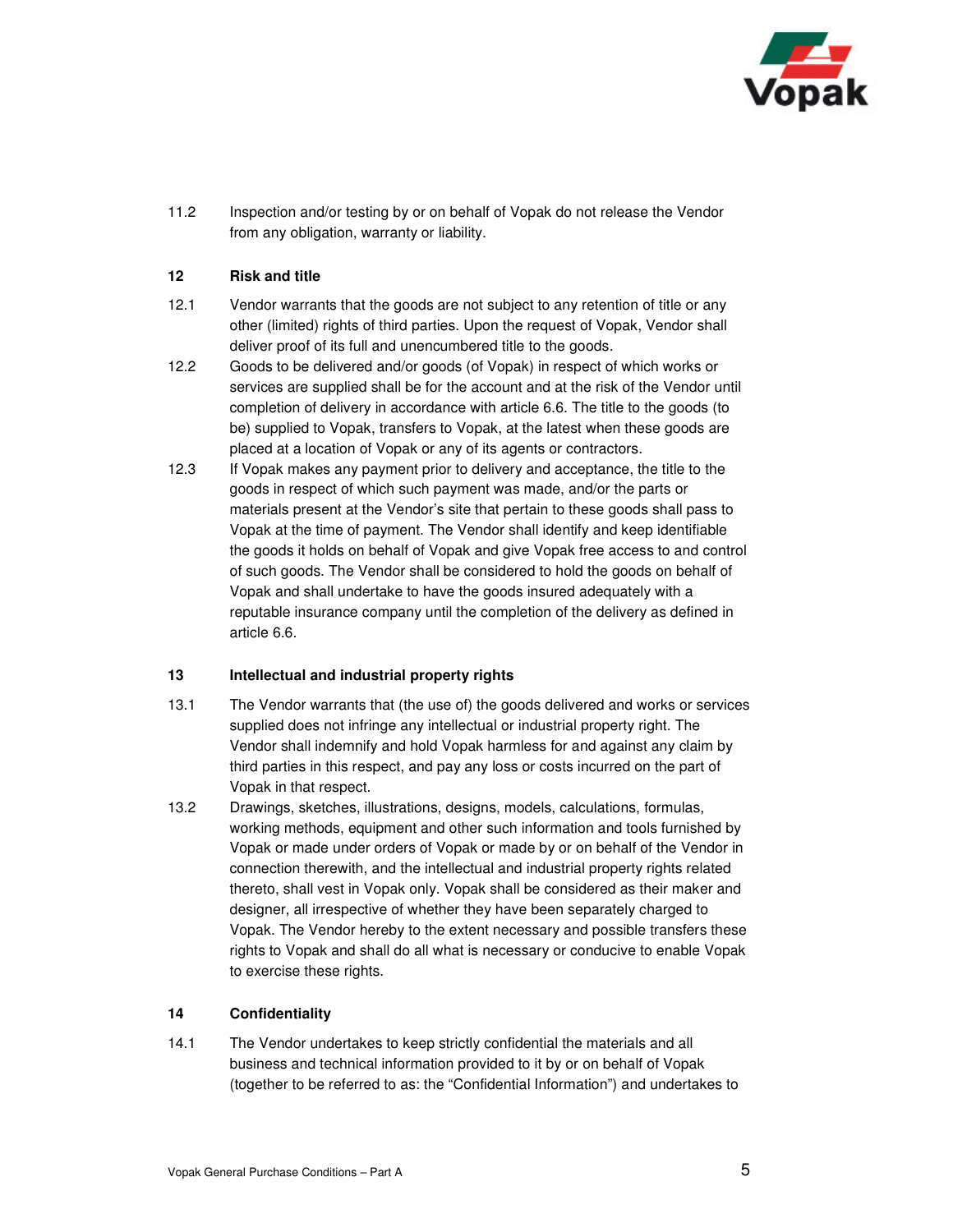

11.2 Inspection and/or testing by or on behalf of Vopak do not release the Vendor from any obligation, warranty or liability.

### **12 Risk and title**

- 12.1 Vendor warrants that the goods are not subject to any retention of title or any other (limited) rights of third parties. Upon the request of Vopak, Vendor shall deliver proof of its full and unencumbered title to the goods.
- 12.2 Goods to be delivered and/or goods (of Vopak) in respect of which works or services are supplied shall be for the account and at the risk of the Vendor until completion of delivery in accordance with article 6.6. The title to the goods (to be) supplied to Vopak, transfers to Vopak, at the latest when these goods are placed at a location of Vopak or any of its agents or contractors.
- 12.3 If Vopak makes any payment prior to delivery and acceptance, the title to the goods in respect of which such payment was made, and/or the parts or materials present at the Vendor's site that pertain to these goods shall pass to Vopak at the time of payment. The Vendor shall identify and keep identifiable the goods it holds on behalf of Vopak and give Vopak free access to and control of such goods. The Vendor shall be considered to hold the goods on behalf of Vopak and shall undertake to have the goods insured adequately with a reputable insurance company until the completion of the delivery as defined in article 6.6.

#### **13 Intellectual and industrial property rights**

- 13.1 The Vendor warrants that (the use of) the goods delivered and works or services supplied does not infringe any intellectual or industrial property right. The Vendor shall indemnify and hold Vopak harmless for and against any claim by third parties in this respect, and pay any loss or costs incurred on the part of Vopak in that respect.
- 13.2 Drawings, sketches, illustrations, designs, models, calculations, formulas, working methods, equipment and other such information and tools furnished by Vopak or made under orders of Vopak or made by or on behalf of the Vendor in connection therewith, and the intellectual and industrial property rights related thereto, shall vest in Vopak only. Vopak shall be considered as their maker and designer, all irrespective of whether they have been separately charged to Vopak. The Vendor hereby to the extent necessary and possible transfers these rights to Vopak and shall do all what is necessary or conducive to enable Vopak to exercise these rights.

### **14 Confidentiality**

14.1 The Vendor undertakes to keep strictly confidential the materials and all business and technical information provided to it by or on behalf of Vopak (together to be referred to as: the "Confidential Information") and undertakes to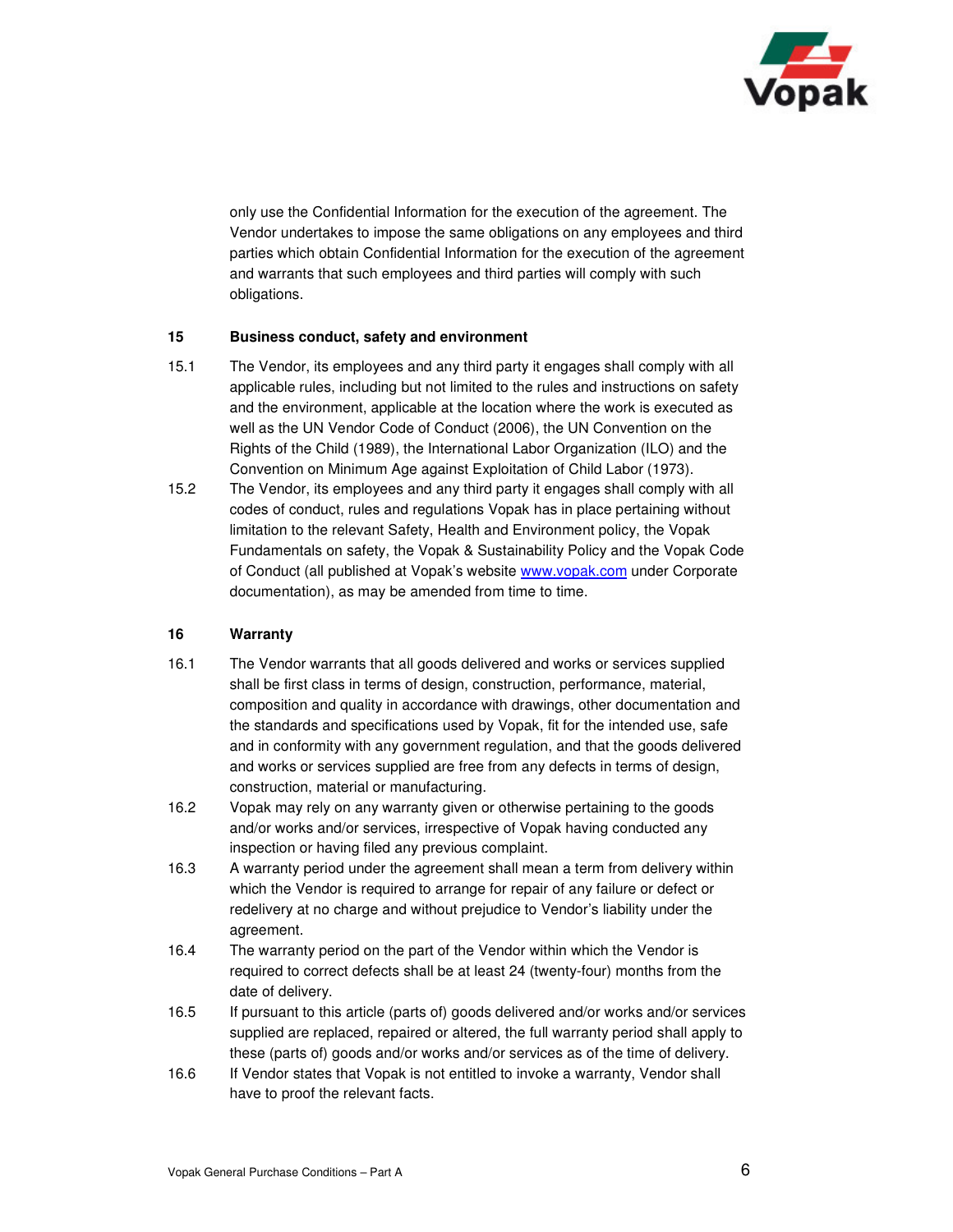

only use the Confidential Information for the execution of the agreement. The Vendor undertakes to impose the same obligations on any employees and third parties which obtain Confidential Information for the execution of the agreement and warrants that such employees and third parties will comply with such obligations.

### **15 Business conduct, safety and environment**

- 15.1 The Vendor, its employees and any third party it engages shall comply with all applicable rules, including but not limited to the rules and instructions on safety and the environment, applicable at the location where the work is executed as well as the UN Vendor Code of Conduct (2006), the UN Convention on the Rights of the Child (1989), the International Labor Organization (ILO) and the Convention on Minimum Age against Exploitation of Child Labor (1973).
- 15.2 The Vendor, its employees and any third party it engages shall comply with all codes of conduct, rules and regulations Vopak has in place pertaining without limitation to the relevant Safety, Health and Environment policy, the Vopak Fundamentals on safety, the Vopak & Sustainability Policy and the Vopak Code of Conduct (all published at Vopak's website www.vopak.com under Corporate documentation), as may be amended from time to time.

### **16 Warranty**

- 16.1 The Vendor warrants that all goods delivered and works or services supplied shall be first class in terms of design, construction, performance, material, composition and quality in accordance with drawings, other documentation and the standards and specifications used by Vopak, fit for the intended use, safe and in conformity with any government regulation, and that the goods delivered and works or services supplied are free from any defects in terms of design, construction, material or manufacturing.
- 16.2 Vopak may rely on any warranty given or otherwise pertaining to the goods and/or works and/or services, irrespective of Vopak having conducted any inspection or having filed any previous complaint.
- 16.3 A warranty period under the agreement shall mean a term from delivery within which the Vendor is required to arrange for repair of any failure or defect or redelivery at no charge and without prejudice to Vendor's liability under the agreement.
- 16.4 The warranty period on the part of the Vendor within which the Vendor is required to correct defects shall be at least 24 (twenty-four) months from the date of delivery.
- 16.5 If pursuant to this article (parts of) goods delivered and/or works and/or services supplied are replaced, repaired or altered, the full warranty period shall apply to these (parts of) goods and/or works and/or services as of the time of delivery.
- 16.6 If Vendor states that Vopak is not entitled to invoke a warranty, Vendor shall have to proof the relevant facts.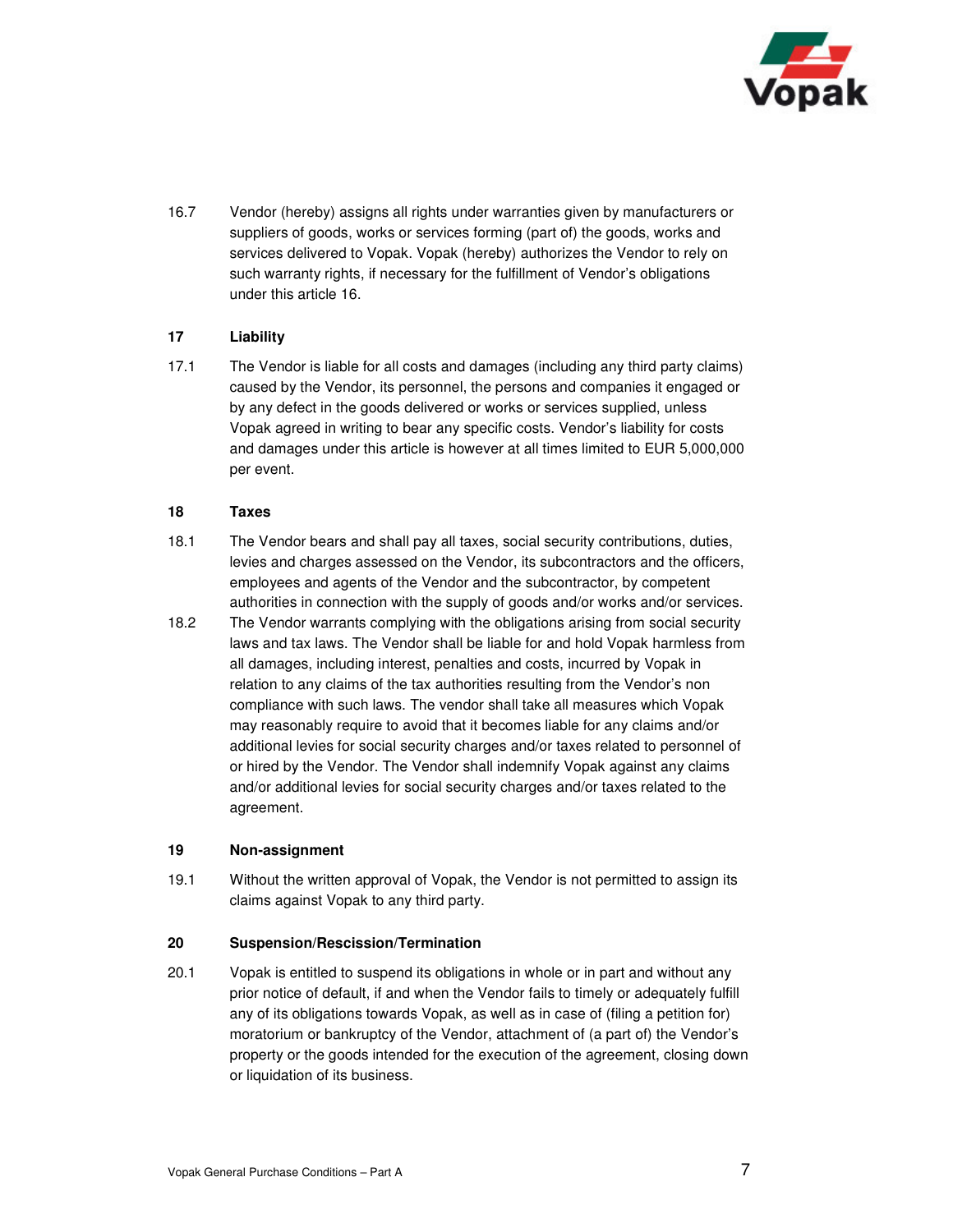

16.7 Vendor (hereby) assigns all rights under warranties given by manufacturers or suppliers of goods, works or services forming (part of) the goods, works and services delivered to Vopak. Vopak (hereby) authorizes the Vendor to rely on such warranty rights, if necessary for the fulfillment of Vendor's obligations under this article 16.

## **17 Liability**

17.1 The Vendor is liable for all costs and damages (including any third party claims) caused by the Vendor, its personnel, the persons and companies it engaged or by any defect in the goods delivered or works or services supplied, unless Vopak agreed in writing to bear any specific costs. Vendor's liability for costs and damages under this article is however at all times limited to EUR 5,000,000 per event.

### **18 Taxes**

- 18.1 The Vendor bears and shall pay all taxes, social security contributions, duties, levies and charges assessed on the Vendor, its subcontractors and the officers, employees and agents of the Vendor and the subcontractor, by competent authorities in connection with the supply of goods and/or works and/or services.
- 18.2 The Vendor warrants complying with the obligations arising from social security laws and tax laws. The Vendor shall be liable for and hold Vopak harmless from all damages, including interest, penalties and costs, incurred by Vopak in relation to any claims of the tax authorities resulting from the Vendor's non compliance with such laws. The vendor shall take all measures which Vopak may reasonably require to avoid that it becomes liable for any claims and/or additional levies for social security charges and/or taxes related to personnel of or hired by the Vendor. The Vendor shall indemnify Vopak against any claims and/or additional levies for social security charges and/or taxes related to the agreement.

### **19 Non-assignment**

19.1 Without the written approval of Vopak, the Vendor is not permitted to assign its claims against Vopak to any third party.

### **20 Suspension/Rescission/Termination**

20.1 Vopak is entitled to suspend its obligations in whole or in part and without any prior notice of default, if and when the Vendor fails to timely or adequately fulfill any of its obligations towards Vopak, as well as in case of (filing a petition for) moratorium or bankruptcy of the Vendor, attachment of (a part of) the Vendor's property or the goods intended for the execution of the agreement, closing down or liquidation of its business.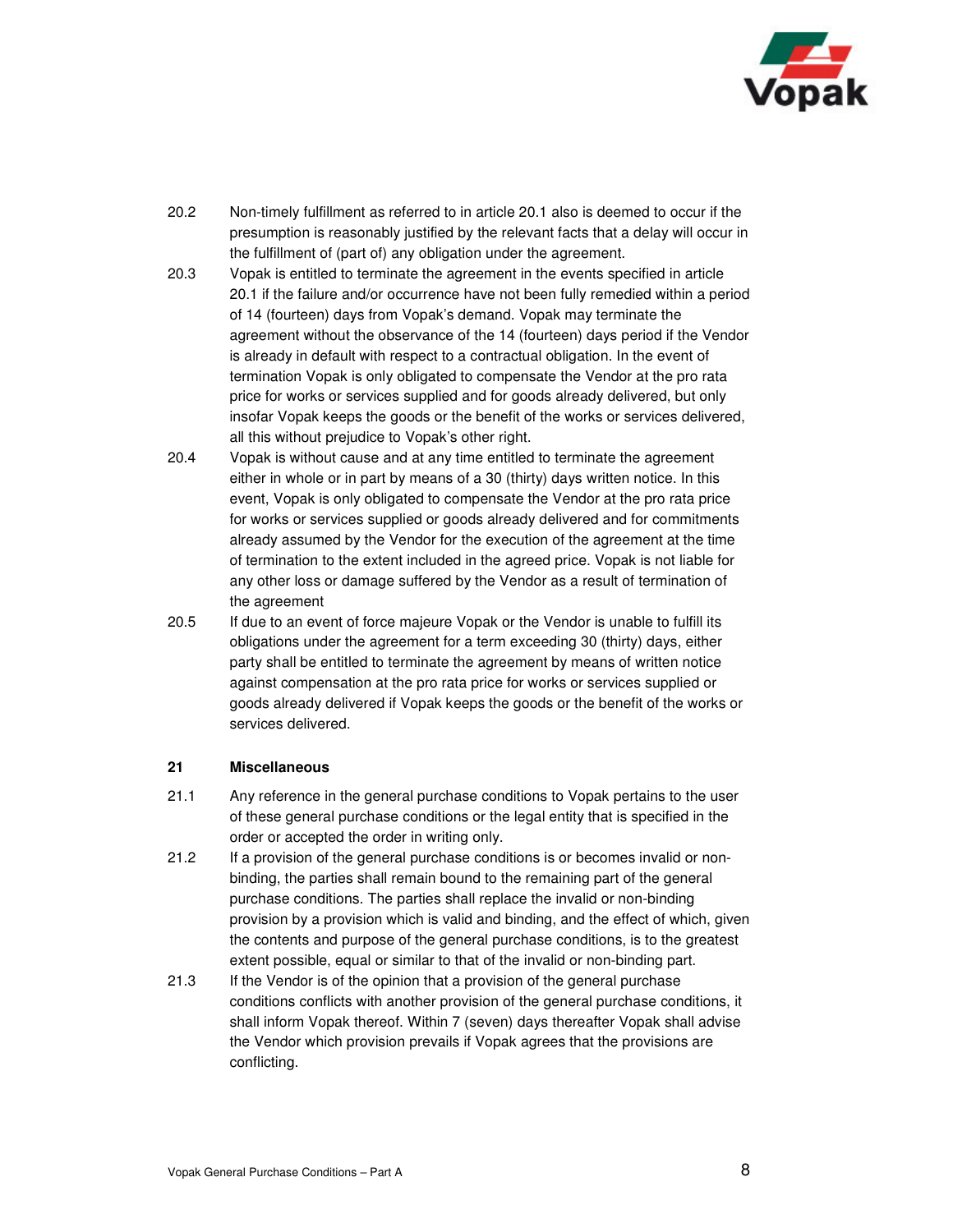

- 20.2 Non-timely fulfillment as referred to in article 20.1 also is deemed to occur if the presumption is reasonably justified by the relevant facts that a delay will occur in the fulfillment of (part of) any obligation under the agreement.
- 20.3 Vopak is entitled to terminate the agreement in the events specified in article 20.1 if the failure and/or occurrence have not been fully remedied within a period of 14 (fourteen) days from Vopak's demand. Vopak may terminate the agreement without the observance of the 14 (fourteen) days period if the Vendor is already in default with respect to a contractual obligation. In the event of termination Vopak is only obligated to compensate the Vendor at the pro rata price for works or services supplied and for goods already delivered, but only insofar Vopak keeps the goods or the benefit of the works or services delivered, all this without prejudice to Vopak's other right.
- 20.4 Vopak is without cause and at any time entitled to terminate the agreement either in whole or in part by means of a 30 (thirty) days written notice. In this event, Vopak is only obligated to compensate the Vendor at the pro rata price for works or services supplied or goods already delivered and for commitments already assumed by the Vendor for the execution of the agreement at the time of termination to the extent included in the agreed price. Vopak is not liable for any other loss or damage suffered by the Vendor as a result of termination of the agreement
- 20.5 If due to an event of force majeure Vopak or the Vendor is unable to fulfill its obligations under the agreement for a term exceeding 30 (thirty) days, either party shall be entitled to terminate the agreement by means of written notice against compensation at the pro rata price for works or services supplied or goods already delivered if Vopak keeps the goods or the benefit of the works or services delivered.

### **21 Miscellaneous**

- 21.1 Any reference in the general purchase conditions to Vopak pertains to the user of these general purchase conditions or the legal entity that is specified in the order or accepted the order in writing only.
- 21.2 If a provision of the general purchase conditions is or becomes invalid or nonbinding, the parties shall remain bound to the remaining part of the general purchase conditions. The parties shall replace the invalid or non-binding provision by a provision which is valid and binding, and the effect of which, given the contents and purpose of the general purchase conditions, is to the greatest extent possible, equal or similar to that of the invalid or non-binding part.
- 21.3 If the Vendor is of the opinion that a provision of the general purchase conditions conflicts with another provision of the general purchase conditions, it shall inform Vopak thereof. Within 7 (seven) days thereafter Vopak shall advise the Vendor which provision prevails if Vopak agrees that the provisions are conflicting.